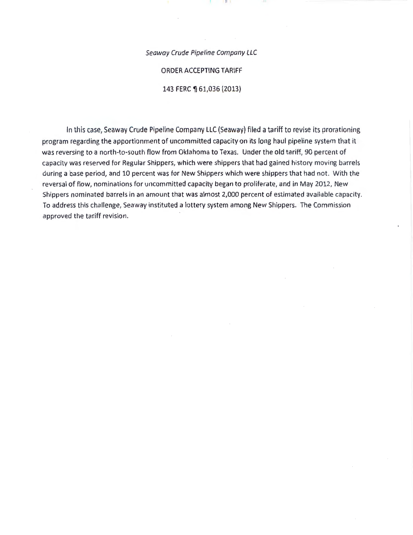#### Seaway Crude Pipeline Company LLC

#### ORDER ACCEPTING TARIFF

143 FERC ¶ 61,036 (2013)

In this case, Seaway Crude Pipeline Company LLC (Seaway) filed a tariff to revise its prorationing program regarding the apportionment of uncommitted capacity on its long haul pipeline system that it was reversing to a north-to-south flow from Oklahoma to Texas. Under the old tariff, 90 percent of capacity was reserved for Regular Shippers, which were shippers that had gained history moving barrels during a base period, and 10 percent was for New Shippers which were shippers that had not. With the reversal of flow, nominations for uncommitted capacity began to proliferate, and in May 2012, New Shippers nominated barrels in an amount that was almost 2,000 percent of estimated available capacity. To address this challenge, Seaway instituted a lottery system among New Shippers. The Commission approved the tariff revision.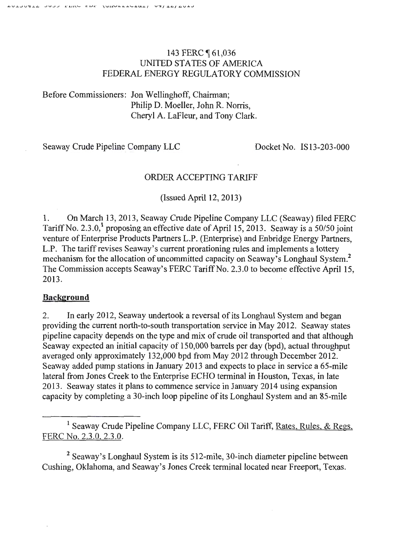# 143 FERC **161,036** UNITED STATES OF AMERICA FEDERAL ENERGY REGULATORY COMMISSION

Before Commissioners: Jon Wellinghoff, Chairman; Philip D. Moeller, John R. Norris, Cheryl A. LaFleur, and Tony Clark.

Seaway Crude Pipeline Company LLC Docket-No. IS 13-203-000

## ORDER ACCEPTING TARIFF

(Issued April 12, 2013)

1. On March 13,2013, Seaway Crude Pipeline Company LLC (Seaway) filed FERC Tariff No. 2.3.0,<sup>1</sup> proposing an effective date of April 15, 2013. Seaway is a 50/50 joint venture of Enterprise Products Partners L.P. (Enterprise) and Enbridge Energy Partners, L.P. The tariff revises Seaway's current prorationing rules and implements a lottery mechanism for the allocation of uncommitted capacity on Seaway's Longhaul System? The Commission accepts Seaway's FERC Tariff No. 2.3.0 to become effective April 15, 2013.

## **Background**

2. In early 2012, Seaway undertook a reversal of its Longhaul System and began providing the current north-to-south transportation service in May 2012. Seaway states pipeline capacity depends on the type and mix of crude oil transported and that although Seaway expected an initial capacity of 150,000 barrels per day (bpd), actual throughput averaged only approximately 132,000 bpd from May 2012 through December 2012. Seaway added pump stations in January 2013 and expects to place in service a 65-mile lateral from Jones Creek to the Enterprise ECHO terminal in Houston, Texas, in late 2013 . Seaway states it plans to commence service in January 2014 using expansion capacity by completing a 30-inch loop pipeline of its Longhaul System and an 85-mile

<sup>2</sup> Seaway's Longhaul System is its 512-mile, 30-inch diameter pipeline between Cushing, Oklahoma, and Seaway's Jones Creek terminal located near Freeport, Texas.

<sup>&</sup>lt;sup>1</sup> Seaway Crude Pipeline Company LLC, FERC Oil Tariff, Rates, Rules, & Regs. FERC No. 2.3.0. 2.3 .0.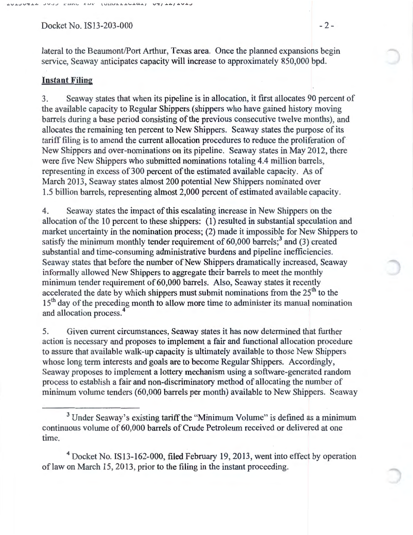Docket No. IS13-203-000 - 2 -

lateral to the Beaumont/Port Arthur, Texas area. Once the planned expansions begin service, Seaway anticipates capacity will increase to approximately 850,000 bpd.

### **Instant Filing**

3. Seaway states that when its pipeline is in allocation, it first allocates 90 percent of the available capacity to Regular Shippers (shippers who have gained history moving barrels during a base period consisting of the previous consecutive twelve months), and allocates the remaining ten percent to New Shippers. Seaway states the purpose of its tariff filing is to amend the current allocation procedures to reduce the proliferation of New Shippers and over-nominations on its pipeline. Seaway states in May 2012, there were five New Shippers who submitted nominations totaling 4.4 million barrels, representing in excess of300 percent of the estimated available capacity. As of March 2013, Seaway states almost 200 potential New Shippers nominated over 1.5 billion barrels, representing almost 2,000 percent of estimated available capacity.

4. Seaway states the impact of this escalating increase in New Shippers on the allocation of the 10 percent to these shippers: (1) resulted in substantial speculation and market uncertainty in the nomination process; (2) made it impossible for New Shippers to satisfy the minimum monthly tender requirement of  $60,000$  barrels;<sup>3</sup> and (3) created substantial and time-consuming administrative burdens and pipeline inefficiencies. Seaway states that before the number of New Shippers dramatically increased, Seaway informally allowed New Shippers to aggregate their barrels to meet the monthly minimum tender requirement of 60,000 barrels. Also, Seaway states it recently accelerated the date by which shippers must submit nominations from the  $25<sup>th</sup>$  to the 15<sup>th</sup> day of the preceding month to allow more time to administer its manual nomination and allocation process. 4

5. Given current circumstances, Seaway states it has now determined that further action is necessary and proposes to implement a fair and functional allocation procedure to assure that available walk-up capacity is ultimately available to those New Shippers whose long term interests and goals are to become Regular Shippers. Accordingly, Seaway proposes to implement a lottery mechanism using a software-generated random process to establish a fair and non-discriminatory method of allocating the number of minimum volume tenders (60,000 barrels per month) available to New Shippers. Seaway

4 Docket No. IS13-162-000, filed February 19, 2013, went into effect by operation of law on March 15, 2013, prior to the filing in the instant proceeding.

<sup>&</sup>lt;sup>3</sup> Under Seaway's existing tariff the "Minimum Volume" is defined as a minimum continuous volume of 60,000 barrels of Crude Petroleum received or delivered at one time.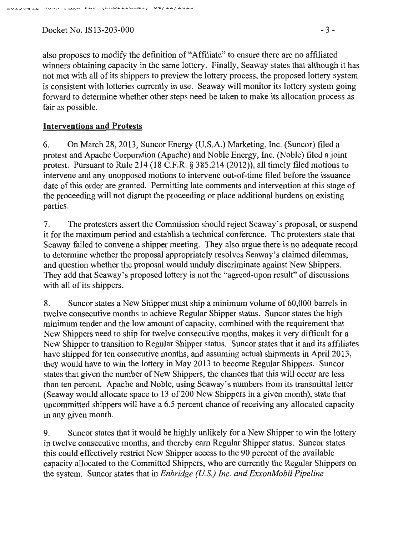Docket No. IS13-203-000 - 3 -

also proposes to modify the definition of "Affiliate" to ensure there are no affiliated winners obtaining capacity in the same lottery. Finally, Seaway states that although it has not met with all of its shippers to preview the lottery process, the proposed lottery system is consistent with lotteries currently in use. Seaway will monitor its lottery system going forward to determine whether other steps need be taken to make its allocation process as fair as possible.

### **Interventions and Protests**

6. On March 28, 2013, Suncor Energy (U.S.A.) Marketing, Inc. (Suncor) filed a protest and Apache Corporation (Apache) and Noble Energy, Inc. (Noble) filed a joint protest. Pursuant to Rule 214 (18 C.F.R. § 385.214 (2012)), all timely filed motions to intervene and any unopposed motions to intervene out-of-time filed before the issuance date of this order are granted. Permitting late comments and intervention at this stage of the proceeding will not disrupt the proceeding or place additional burdens on existing parties.

7. The protesters assert the Commission should reject Seaway's proposal, or suspend it for the maximum period and establish a technical conference. The protesters state that Seaway failed to convene a shipper meeting. They also argue there is no adequate record to determine whether the proposal appropriately resolves Seaway's claimed dilemmas, and question whether the proposal would unduly discriminate against New Shippers. They add that Seaway's proposed lottery is not the "agreed-upon result" of discussions with all of its shippers.

8. Suncor states a New Shipper must ship a minimum volume of 60,000 barrels in twelve consecutive months to achieve Regular Shipper status. Suncor states the high minimum tender and the low amount of capacity, combined with the requirement that New Shippers need to ship for twelve consecutive months, makes it very difficult for a New Shipper to transition to Regular Shipper status. Suncor states that it and its affiliates have shipped for ten consecutive months, and assuming actual shipments in April2013, they would have to win the lottery in May 2013 to become Regular Shippers. Suncor states that given the number of New Shippers, the chances that this will occur are less than ten percent. Apache and Noble, using Seaway's numbers from its transmittal letter (Seaway would allocate space to 13 of 200 New Shippers in a given month), state that uncommitted shippers will have a 6.5 percent chance of receiving any allocated capacity in any given month.

9. Suncor states that it would be highly unlikely for a New Shipper to win the lottery in twelve consecutive months, and thereby earn Regular Shipper status. Suncor states this could effectively restrict New Shipper access to the 90 percent of the available capacity allocated to the Committed Shippers, who are currently the Regular Shippers on the system. Suncor states that in *Enbridge (U.S.) Inc. and ExxonMobil Pipeline*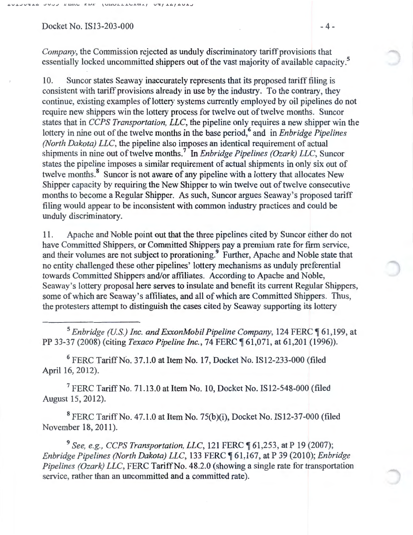Docket No. IS13-203-000 - 4 -

 $1$ UIIULLIULAII

*Company,* the Commission rejected as unduly discriminatory tariff provisions that essentially locked uncommitted shippers out of the vast majority of available capacity.<sup>5</sup>

10. Suncor states Seaway inaccurately represents that its proposed tariff filing is consistent with tariff provisions already in use by the industry. To the contrary, they continue, existing examples of lottery systems currently employed by oil pipelines do not require new shippers win the lottery process for twelve out of twelve months. Suncor states that in *CCPS Transportation, LLC,* the pipeline only requires a new shipper win the lottery in nine out of the twelve months in the base period,<sup>6</sup> and in *Enbridge Pipelines (North Dakota) LLC,* the pipeline also imposes an identical requirement of actual shipments in nine out of twelve months. 7 In *Enbridge Pipelines (Ozark) LLC,* Suncor states the pipeline imposes a similar requirement of actual shipments in only six out of twelve months.<sup>8</sup> Suncor is not aware of any pipeline with a lottery that allocates New Shipper capacity by requiring the New Shipper to win twelve out of twelve consecutive months to become a Regular Shipper. As such, Suncor argues Seaway's proposed tariff filing would appear to be inconsistent with common industry practices and could be unduly discriminatory.

11. Apache and Noble point out that the three pipelines cited by Suncor either do not have Committed Shippers, or Committed Shippers pay a premium rate for firm service, and their volumes are not subject to prorationing.<sup>9</sup> Further, Apache and Noble state that no entity challenged these other pipelines' lottery mechanisms as unduly preferential towards Committed Shippers and/or affiliates. According to Apache and Noble, Seaway's lottery proposal here serves to insulate and benefit its current Regular Shippers, some of which are Seaway's affiliates, and all of which are Committed Shippers. Thus, the protesters attempt to distinguish the cases cited by Seaway supporting its lottery

<sup>5</sup> Enbridge (U.S.) Inc. and ExxonMobil Pipeline Company, 124 FERC [61,199, at PP 33-37 (2008) (citing *Texaco Pipeline Inc.,* 74 FERC ~ 61,071, at 61,201 (1996)).

 $6$  FERC Tariff No. 37.1.0 at Item No. 17, Docket No. IS12-233-000 (filed April 16, 2012).

 $7$  FERC Tariff No. 71.13.0 at Item No. 10, Docket No. IS12-548-000 (filed August 15, 2012).

8 FERC Tariff No. 47.1.0 at Item No. 75(b)(i), Docket No. IS12-37-000 (filed November 18, 2011).

<sup>9</sup> See, e.g., CCPS Transportation, LLC, 121 FERC ¶ 61,253, at P 19 (2007); *Enbridge Pipelines (North Dakota) LLC,* 133 FERC ~ 61,167, at P 39 (2010); *Enbridge Pipelines (Ozark) LLC,* FERC Tariff No. 48.2.0 (showing a single rate for transportation service, rather than an uncommitted and a committed rate).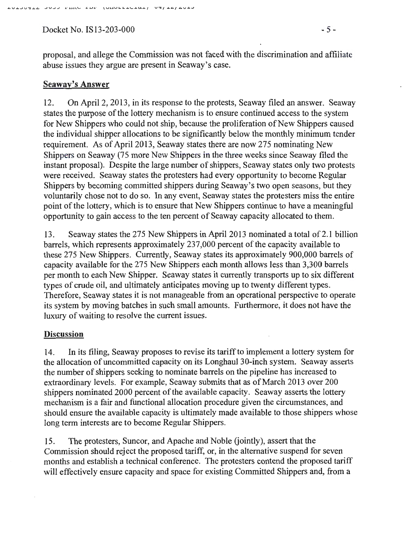Docket No. IS13-203-000 - 5-

proposal, and allege the Commission was not faced with the discrimination and affiliate abuse issues they argue are present in Seaway's case.

#### Seaway's Answer

12. On April2, 2013, in its response to the protests, Seaway filed an answer. Seaway states the purpose of the lottery mechanism is to ensure continued access to the system for New Shippers who could not ship, because the proliferation of New Shippers caused the individual shipper allocations to be significantly below the monthly minimum tender requirement. As of April 2013, Seaway states there are now 275 nominating New Shippers on Seaway (75 more New Shippers in the three weeks since Seaway filed the instant proposal). Despite the large number of shippers, Seaway states only two protests were received. Seaway states the protesters had every opportunity to become Regular Shippers by becoming committed shippers during Seaway's two open seasons, but they voluntarily chose not to do so. In any event, Seaway states the protesters miss the entire point of the lottery, which is to ensure that New Shippers continue to have a meaningful opportunity to gain access to the ten percent of Seaway capacity allocated to them.

13. Seaway states the 275 New Shippers in April2013 nominated a total of2.1 billion barrels, which represents approximately 237,000 percent of the capacity available to these 275 New Shippers. Currently, Seaway states its approximately 900,000 barrels of capacity available for the 275 New Shippers each month allows less than 3,300 barrels per month to each New Shipper. Seaway states it currently transports up to six different types of crude oil, and ultimately anticipates moving up to twenty different types. Therefore, Seaway states it is not manageable from an operational perspective to operate its system by moving batches in such small amounts. Furthermore, it does not have the luxury of waiting to resolve the current issues.

#### **Discussion**

14. In its filing, Seaway proposes to revise its tariff to implement a lottery system for the allocation of uncommitted capacity on its Longhaul 30-inch system. Seaway asserts the number of shippers seeking to nominate barrels on the pipeline has increased to extraordinary levels. For example, Seaway submits that as of March 2013 over 200 shippers nominated 2000 percent of the available capacity. Seaway asserts the lottery mechanism is a fair and functional allocation procedure given the circumstances, and should ensure the available capacity is ultimately made available to those shippers whose long term interests are to become Regular Shippers.

15. The protesters, Suncor, and Apache and Noble (jointly), assert that the Commission should reject the proposed tariff, or, in the alternative suspend for seven months and establish a technical conference. The protesters contend the proposed tariff will effectively ensure capacity and space for existing Committed Shippers and, from a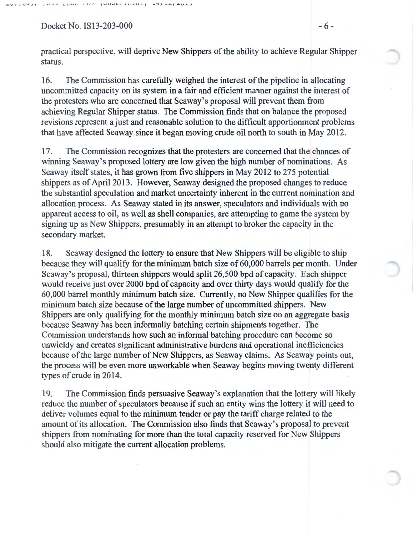$Docket No. IS13-203-000$  - 6 -

practical perspective, will deprive New Shippers of the ability to achieve Regular Shipper status.

16. The Commission has carefully weighed the interest of the pipeline in allocating uncommitted capacity on its system in a fair and efficient manner against the interest of the protesters who are concerned that Seaway's proposal will prevent them from achieving Regular Shipper status. The Commission finds that on balance the proposed revisions represent a just and reasonable solution to the difficult apportionment problems that have affected Seaway since it began moving crude oil north to south in May 2012.

17. The Commission recognizes that the protesters are concerned that the chances of winning Seaway's proposed lottery are low given the high number of nominations. As Seaway itself states, it has grown from five shippers in May 2012 to 275 potential shippers as of April2013. However, Seaway designed the proposed changes to reduce the substantial speculation and market uncertainty inherent in the current nomination and allocation process. As Seaway stated in its answer, speculators and individuals with no apparent access to oil, as well as shell companies, are attempting to game the system by signing up as New Shippers, presumably in an attempt to broker the capacity in the secondary market.

18. Seaway designed the lottery to ensure that New Shippers will be eligible to ship because they will qualify for the minimum batch size of 60,000 barrels per month. Under Seaway's proposal, thirteen shippers would split 26,500 bpd of capacity. Each shipper would receive just over 2000 bpd of capacity and over thirty days would qualify for the 60,000 barrel monthly minimum batch size. Currently, no New Shipper qualifies for the minimum batch size because of the large number of uncommitted shippers. New Shippers are only qualifying for the monthly minimum batch size on an aggregate basis because Seaway has been informally hatching certain shipments together. The Commission understands how such an informal hatching procedure can become so unwieldy and creates significant administrative burdens and operational inefficiencies because of the large number of New Shippers, as Seaway claims. As Seaway points out, the process will be even more unworkable when Seaway begins moving twenty different types of crude in 2014.

19. The Commission finds persuasive Seaway's explanation that the lottery will likely reduce the number of speculators because if such an entity wins the lottery it will need to deliver volumes equal to the minimum tender or pay the tariff charge related to the amount of its allocation. The Commission also finds that Seaway's proposal to prevent shippers from nominating for more than the total capacity reserved for New Shippers should also mitigate the current allocation problems.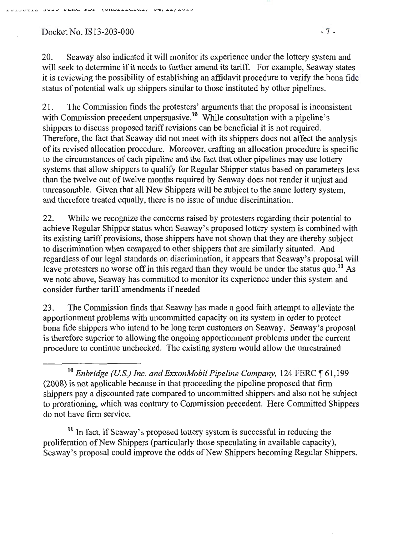Docket No. IS 13-203-000  $-7 -$ 

AUIJUTIA JUJU PERU EDE (UNULLIUITIOI) UT/IA/AUI-

20. Seaway also indicated it will monitor its experience under the lottery system and will seek to determine if it needs to further amend its tariff. For example, Seaway states it is reviewing the possibility of establishing an affidavit procedure to verify the bona fide status of potential walk up shippers similar to those instituted by other pipelines.

21. The Commission finds the protesters' arguments that the proposal is inconsistent with Commission precedent unpersuasive.<sup>10</sup> While consultation with a pipeline's shippers to discuss proposed tariff revisions can be beneficial it is not required. Therefore, the fact that Seaway did not meet with its shippers does not affect the analysis of its revised allocation procedure. Moreover, crafting an allocation procedure is specific to the circumstances of each pipeline and the fact that other pipelines may use lottery systems that allow shippers to qualify for Regular Shipper status based on parameters less than the twelve out of twelve months required by Seaway does not render it unjust and unreasonable. Given that all New Shippers will be subject to the same lottery system, and therefore treated equally, there is no issue of undue discrimination.

22. While we recognize the concerns raised by protesters regarding their potential to achieve Regular Shipper status when Seaway's proposed lottery system is combined with its existing tariff provisions, those shippers have not shown that they are thereby subject to discrimination when compared to other shippers that are similarly situated. And regardless of our legal standards on discrimination, it appears that Seaway's proposal will leave protesters no worse off in this regard than they would be under the status quo.<sup>11</sup> As we note above, Seaway has committed to monitor its experience under this system and consider further tariff amendments if needed

23. The Commission finds that Seaway has made a good faith attempt to alleviate the apportionment problems with uncommitted capacity on its system in order to protect bona fide shippers who intend to be long term customers on Seaway. Seaway's proposal is therefore superior to allowing the ongoing apportionment problems under the current procedure to continue unchecked. The existing system would allow the unrestrained

<sup>10</sup> Enbridge (U.S.) Inc. and ExxonMobil Pipeline Company, 124 FERC  $\P$  61,199 (2008) is not applicable because in that proceeding the pipeline proposed that firm shippers pay a discounted rate compared to uncommitted shippers and also not be subject to prorationing, which was contrary to Commission precedent. Here Committed Shippers do not have firm service.

 $11$  In fact, if Seaway's proposed lottery system is successful in reducing the proliferation of New Shippers (particularly those speculating in available capacity), Seaway's proposal could improve the odds of New Shippers becoming Regular Shippers.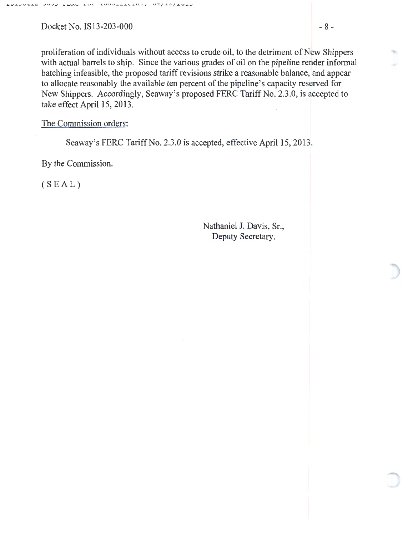Docket No. IS 13-203-000  $-8$  -

proliferation of individuals without access to crude oil, to the detriment of New Shippers with actual barrels to ship. Since the various grades of oil on the pipeline render informal hatching infeasible, the proposed tariff revisions strike a reasonable balance, and appear to allocate reasonably the available ten percent of the pipeline's capacity reserved for New Shippers. Accordingly, Seaway's proposed FERC Tariff No. 2.3.0, is accepted to take effect April 15, 2013.

The Commission orders:

Seaway's FERC Tariff No. 2.3.0 is accepted, effective April 15, 2013.

By the Commission.

 $(SEAL)$ 

Nathaniel J. Davis, Sr., Deputy Secretary.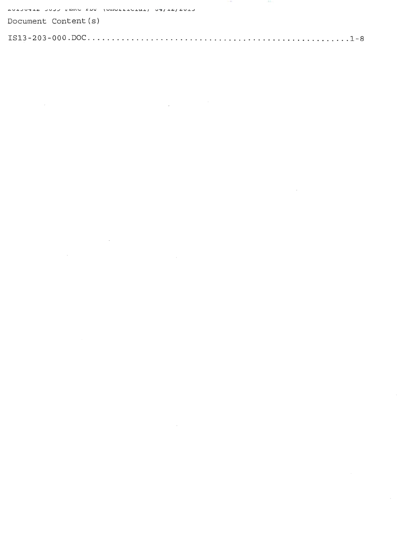AULUSIA DUD PERU EUF (UNULLIULAI) UT/IA/AULU

Document Content (s)

 $\label{eq:2.1} \mathcal{L}(\mathcal{L}(\mathcal{L})) = \mathcal{L}(\mathcal{L}(\mathcal{L})) = \mathcal{L}(\mathcal{L}(\mathcal{L})) = \mathcal{L}(\mathcal{L}(\mathcal{L})) = \mathcal{L}(\mathcal{L}(\mathcal{L}))$ 

 $\mathcal{L}(\mathcal{L}^{\mathcal{L}})$  and  $\mathcal{L}(\mathcal{L}^{\mathcal{L}})$  and  $\mathcal{L}(\mathcal{L}^{\mathcal{L}})$  and  $\mathcal{L}(\mathcal{L}^{\mathcal{L}})$